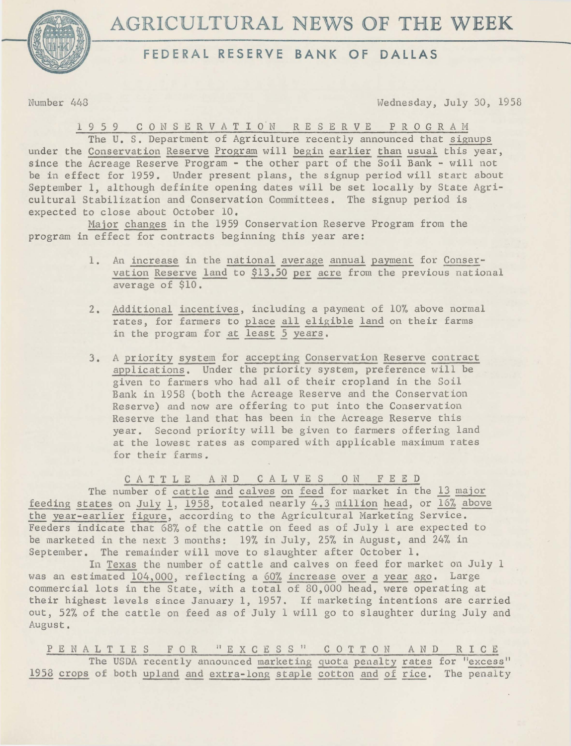



**FEDERAL RESERVE BANK OF DALLAS** 

Number 448 Wednesday, July 30, 1958

1 9 5 9 C 0 NS ERV AT I o·N RESERVE P R 0 G R A M

The U. S. Department of Agriculture recently announced that signups under the Conservation Reserve Program will begin earlier than usual this year, since the Acreage Reserve Program - the other part of the Soil Bank - will not be in effect for 1959. Under present plans, the signup period will start about September 1, although definite opening dates will be set locally by State Agricultural Stabilization and Conservation Committees. The signup period is expected to close about October 10.

Major changes in the 1959 Conservation Reserve Program from the program in effect for contracts beginning this year are:

- 1. An increase in the national average annual payment for Conservation Reserve land to \$13.50 per acre from the previous national average of \$10.
- 2. Additional incentives, including a payment of 10% above normal rates, for farmers to place all eligible land on their farms in the program for at least 5 years.
- 3. A priority system for accepting Conservation Reserve contract applications. Under the priority system, preference will be given to farmers who had all of their cropland in the Soil Bank in 1958 (both the Acreage Reserve and the Conservation Reserve) and now are offering to put into the Conservation Reserve the land that has been in the Acreage Reserve this year. Second priority will be given to farmers offering land at the lowest rates as compared with applicable maximum rates for their farms.

C A T T L E AND C A L V E S 0 N F E E D The number of cattle and calves on feed for market in the 13 major feeding states on July 1, 1958, totaled nearly 4.3 million head, or 16% above the year-earlier figure, according to the Agricultural Marketing Service. Feeders indicate that 68% of the cattle on feed as of July 1 are expected to be marketed in the next 3 months: 19% in July, 25% in August, and 24% in September. The remainder will move to slaughter after October 1.

In Texas the number of cattle and calves on feed for market on July <sup>1</sup> was an estimated 104,000, reflecting a 60% increase over a year ago. Large commercial lots in the State, with a total of 80,000 head, were operating at their highest levels since January 1, 1957. If marketing intentions are carried out, 52% of the cattle on feed as of July 1 will go to slaughter during July and August.

PENALTIES FOR "EXCESS" COTTON AND RICE The USDA recently announced marketing quota penalty rates for "excess" 1958 crops of both upland and extra-long staple cotton and of rice. The penalty